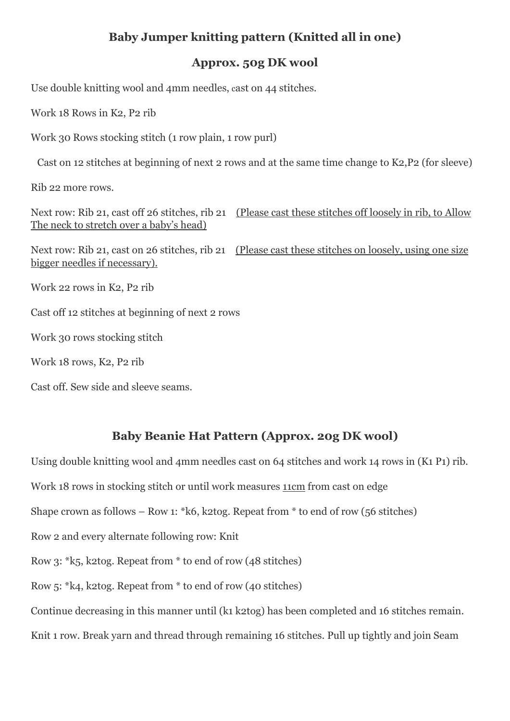## **Baby Jumper knitting pattern (Knitted all in one)**

#### **Approx. 50g DK wool**

Use double knitting wool and 4mm needles, cast on 44 stitches.

Work 18 Rows in K2, P2 rib

Work 30 Rows stocking stitch (1 row plain, 1 row purl)

Cast on 12 stitches at beginning of next 2 rows and at the same time change to K2,P2 (for sleeve)

Rib 22 more rows.

Next row: Rib 21, cast off 26 stitches, rib 21 (Please cast these stitches off loosely in rib, to Allow The neck to stretch over a baby's head)

Next row: Rib 21, cast on 26 stitches, rib 21 (Please cast these stitches on loosely, using one size bigger needles if necessary).

Work 22 rows in K2, P2 rib

Cast off 12 stitches at beginning of next 2 rows

Work 30 rows stocking stitch

Work 18 rows, K2, P2 rib

Cast off. Sew side and sleeve seams.

## **Baby Beanie Hat Pattern (Approx. 20g DK wool)**

Using double knitting wool and 4mm needles cast on 64 stitches and work 14 rows in (K1 P1) rib. Work 18 rows in stocking stitch or until work measures 11cm from cast on edge Shape crown as follows – Row 1: \* k6, k2tog. Repeat from \* to end of row (56 stitches) Row 2 and every alternate following row: Knit Row 3: \*k5, k2tog. Repeat from \* to end of row (48 stitches) Row 5: \*k4, k2tog. Repeat from \* to end of row (40 stitches) Continue decreasing in this manner until (k1 k2tog) has been completed and 16 stitches remain. Knit 1 row. Break yarn and thread through remaining 16 stitches. Pull up tightly and join Seam